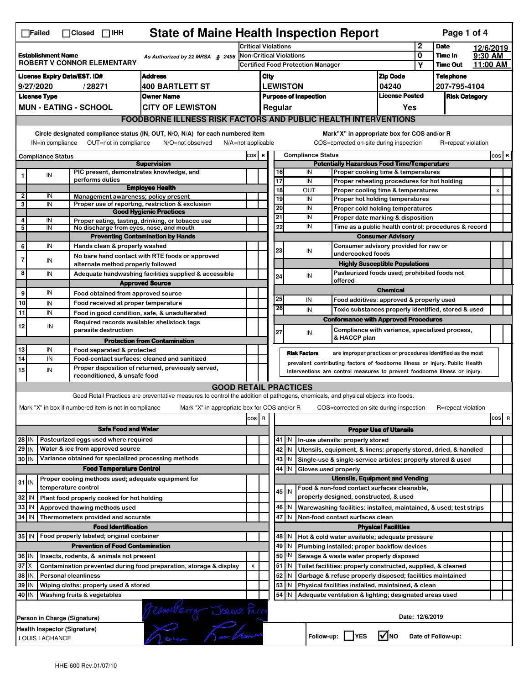|                                                                                                                                                                                                                                                                                       | <b>State of Maine Health Inspection Report</b><br>Page 1 of 4<br>∏Failed<br>$\Box$ Closed $\Box$ IHH      |                                                                                                    |                                                                            |                                                                                                                                   |       |                                                   |                                                          |                                                                                                      |                                                              |                                                                                       |                                       |                 |                    |          |          |
|---------------------------------------------------------------------------------------------------------------------------------------------------------------------------------------------------------------------------------------------------------------------------------------|-----------------------------------------------------------------------------------------------------------|----------------------------------------------------------------------------------------------------|----------------------------------------------------------------------------|-----------------------------------------------------------------------------------------------------------------------------------|-------|---------------------------------------------------|----------------------------------------------------------|------------------------------------------------------------------------------------------------------|--------------------------------------------------------------|---------------------------------------------------------------------------------------|---------------------------------------|-----------------|--------------------|----------|----------|
|                                                                                                                                                                                                                                                                                       |                                                                                                           |                                                                                                    |                                                                            | <b>Critical Violations</b>                                                                                                        |       |                                                   |                                                          |                                                                                                      |                                                              | $\mathbf{2}$                                                                          | <b>Date</b>                           |                 | 12/6/2019          |          |          |
| <b>Establishment Name</b><br>As Authorized by 22 MRSA § 2496<br><b>ROBERT V CONNOR ELEMENTARY</b>                                                                                                                                                                                     |                                                                                                           |                                                                                                    | Non-Critical Violations                                                    |                                                                                                                                   |       |                                                   |                                                          |                                                                                                      | 0                                                            | Time In                                                                               | 9:30 AM                               |                 |                    |          |          |
|                                                                                                                                                                                                                                                                                       |                                                                                                           |                                                                                                    |                                                                            |                                                                                                                                   |       |                                                   |                                                          | Certified Food Protection Manager                                                                    |                                                              |                                                                                       | Υ                                     | <b>Time Out</b> |                    | 11:00 AM |          |
| <b>License Expiry Date/EST. ID#</b><br><b>Address</b>                                                                                                                                                                                                                                 |                                                                                                           |                                                                                                    |                                                                            | <b>Zip Code</b><br>City                                                                                                           |       |                                                   |                                                          |                                                                                                      |                                                              | <b>Telephone</b>                                                                      |                                       |                 |                    |          |          |
|                                                                                                                                                                                                                                                                                       | 9/27/2020                                                                                                 |                                                                                                    | /28271                                                                     | <b>400 BARTLETT ST</b><br><b>Owner Name</b>                                                                                       |       | <b>LEWISTON</b><br>04240<br><b>License Posted</b> |                                                          |                                                                                                      |                                                              | 207-795-4104                                                                          |                                       |                 |                    |          |          |
|                                                                                                                                                                                                                                                                                       | <b>License Type</b>                                                                                       |                                                                                                    | <b>MUN - EATING - SCHOOL</b>                                               | <b>CITY OF LEWISTON</b>                                                                                                           |       | <b>Purpose of Inspection</b><br>Regular<br>Yes    |                                                          |                                                                                                      |                                                              | <b>Risk Category</b>                                                                  |                                       |                 |                    |          |          |
|                                                                                                                                                                                                                                                                                       |                                                                                                           |                                                                                                    |                                                                            | <b>FOODBORNE ILLNESS RISK FACTORS AND PUBLIC HEALTH INTERVENTIONS</b>                                                             |       |                                                   |                                                          |                                                                                                      |                                                              |                                                                                       |                                       |                 |                    |          |          |
|                                                                                                                                                                                                                                                                                       |                                                                                                           |                                                                                                    |                                                                            |                                                                                                                                   |       |                                                   |                                                          |                                                                                                      |                                                              |                                                                                       |                                       |                 |                    |          |          |
| Circle designated compliance status (IN, OUT, N/O, N/A) for each numbered item<br>Mark"X" in appropriate box for COS and/or R<br>OUT=not in compliance<br>COS=corrected on-site during inspection<br>IN=in compliance<br>N/O=not observed<br>N/A=not applicable<br>R=repeat violation |                                                                                                           |                                                                                                    |                                                                            |                                                                                                                                   |       |                                                   |                                                          |                                                                                                      |                                                              |                                                                                       |                                       |                 |                    |          |          |
|                                                                                                                                                                                                                                                                                       | <b>Compliance Status</b>                                                                                  |                                                                                                    |                                                                            |                                                                                                                                   | COS R |                                                   |                                                          |                                                                                                      | <b>Compliance Status</b>                                     |                                                                                       |                                       |                 |                    |          | COS R    |
|                                                                                                                                                                                                                                                                                       |                                                                                                           |                                                                                                    | PIC present, demonstrates knowledge, and                                   | <b>Supervision</b>                                                                                                                |       |                                                   |                                                          | <b>Potentially Hazardous Food Time/Temperature</b><br>16<br>IN<br>Proper cooking time & temperatures |                                                              |                                                                                       |                                       |                 |                    |          |          |
| 1                                                                                                                                                                                                                                                                                     | ${\sf IN}$                                                                                                |                                                                                                    | performs duties                                                            |                                                                                                                                   |       |                                                   |                                                          | 17                                                                                                   | IN                                                           | Proper reheating procedures for hot holding                                           |                                       |                 |                    |          |          |
|                                                                                                                                                                                                                                                                                       |                                                                                                           |                                                                                                    |                                                                            | <b>Employee Health</b>                                                                                                            |       |                                                   |                                                          | 18                                                                                                   | OUT                                                          | Proper cooling time & temperatures                                                    |                                       |                 |                    |          | X        |
| $\overline{\mathbf{c}}$<br>3                                                                                                                                                                                                                                                          | IN<br>IN                                                                                                  |                                                                                                    | Management awareness: policy present                                       | Proper use of reporting, restriction & exclusion                                                                                  |       |                                                   |                                                          | 19                                                                                                   | IN                                                           | Proper hot holding temperatures                                                       |                                       |                 |                    |          |          |
|                                                                                                                                                                                                                                                                                       |                                                                                                           |                                                                                                    |                                                                            | <b>Good Hygienic Practices</b>                                                                                                    |       |                                                   |                                                          | 20                                                                                                   | IN                                                           | Proper cold holding temperatures                                                      |                                       |                 |                    |          |          |
| 4                                                                                                                                                                                                                                                                                     | IN                                                                                                        |                                                                                                    |                                                                            | Proper eating, tasting, drinking, or tobacco use                                                                                  |       |                                                   | 21                                                       | 22                                                                                                   | IN<br>IN                                                     | Proper date marking & disposition                                                     |                                       |                 |                    |          |          |
| 5                                                                                                                                                                                                                                                                                     | IN                                                                                                        |                                                                                                    | No discharge from eyes, nose, and mouth                                    | <b>Preventing Contamination by Hands</b>                                                                                          |       |                                                   |                                                          |                                                                                                      |                                                              | Time as a public health control: procedures & record                                  | <b>Consumer Advisory</b>              |                 |                    |          |          |
| 6                                                                                                                                                                                                                                                                                     | IN                                                                                                        |                                                                                                    | Hands clean & properly washed                                              |                                                                                                                                   |       |                                                   |                                                          |                                                                                                      |                                                              | Consumer advisory provided for raw or                                                 |                                       |                 |                    |          |          |
|                                                                                                                                                                                                                                                                                       |                                                                                                           |                                                                                                    |                                                                            | No bare hand contact with RTE foods or approved                                                                                   |       |                                                   |                                                          | 23                                                                                                   | IN                                                           | undercooked foods                                                                     |                                       |                 |                    |          |          |
| $\overline{7}$                                                                                                                                                                                                                                                                        | IN                                                                                                        |                                                                                                    | alternate method properly followed                                         |                                                                                                                                   |       |                                                   |                                                          |                                                                                                      |                                                              |                                                                                       | <b>Highly Susceptible Populations</b> |                 |                    |          |          |
| 8                                                                                                                                                                                                                                                                                     | IN                                                                                                        |                                                                                                    |                                                                            | Adequate handwashing facilities supplied & accessible                                                                             |       |                                                   |                                                          | 24                                                                                                   | IN                                                           | Pasteurized foods used; prohibited foods not                                          |                                       |                 |                    |          |          |
|                                                                                                                                                                                                                                                                                       |                                                                                                           |                                                                                                    |                                                                            | <b>Approved Source</b>                                                                                                            |       |                                                   |                                                          | offered<br><b>Chemical</b>                                                                           |                                                              |                                                                                       |                                       |                 |                    |          |          |
| 9                                                                                                                                                                                                                                                                                     | IN                                                                                                        |                                                                                                    | Food obtained from approved source                                         |                                                                                                                                   |       |                                                   |                                                          | 25                                                                                                   | IN                                                           | Food additives: approved & properly used                                              |                                       |                 |                    |          |          |
| 10<br>11                                                                                                                                                                                                                                                                              | IN<br>IN                                                                                                  |                                                                                                    | Food received at proper temperature                                        |                                                                                                                                   |       |                                                   |                                                          | 26                                                                                                   | IN                                                           | Toxic substances properly identified, stored & used                                   |                                       |                 |                    |          |          |
|                                                                                                                                                                                                                                                                                       |                                                                                                           |                                                                                                    | Required records available: shellstock tags                                | Food in good condition, safe, & unadulterated                                                                                     |       |                                                   |                                                          |                                                                                                      |                                                              | <b>Conformance with Approved Procedures</b>                                           |                                       |                 |                    |          |          |
| 12                                                                                                                                                                                                                                                                                    | IN                                                                                                        |                                                                                                    | parasite destruction                                                       |                                                                                                                                   |       |                                                   | 27                                                       |                                                                                                      | IN                                                           | Compliance with variance, specialized process,                                        |                                       |                 |                    |          |          |
|                                                                                                                                                                                                                                                                                       |                                                                                                           |                                                                                                    |                                                                            | <b>Protection from Contamination</b>                                                                                              |       |                                                   |                                                          |                                                                                                      |                                                              | & HACCP plan                                                                          |                                       |                 |                    |          |          |
| 13                                                                                                                                                                                                                                                                                    | IN                                                                                                        |                                                                                                    | Food separated & protected                                                 |                                                                                                                                   |       |                                                   |                                                          |                                                                                                      | <b>Risk Factors</b>                                          | are improper practices or procedures identified as the most                           |                                       |                 |                    |          |          |
| 14                                                                                                                                                                                                                                                                                    | IN                                                                                                        | Food-contact surfaces: cleaned and sanitized<br>Proper disposition of returned, previously served, |                                                                            |                                                                                                                                   |       |                                                   |                                                          |                                                                                                      |                                                              | prevalent contributing factors of foodborne illness or injury. Public Health          |                                       |                 |                    |          |          |
| 15<br>IN<br>Interventions are control measures to prevent foodborne illness or injury.<br>reconditioned, & unsafe food                                                                                                                                                                |                                                                                                           |                                                                                                    |                                                                            |                                                                                                                                   |       |                                                   |                                                          |                                                                                                      |                                                              |                                                                                       |                                       |                 |                    |          |          |
|                                                                                                                                                                                                                                                                                       |                                                                                                           |                                                                                                    |                                                                            | <b>GOOD RETAIL PRACTICES</b>                                                                                                      |       |                                                   |                                                          |                                                                                                      |                                                              |                                                                                       |                                       |                 |                    |          |          |
|                                                                                                                                                                                                                                                                                       |                                                                                                           |                                                                                                    |                                                                            | Good Retail Practices are preventative measures to control the addition of pathogens, chemicals, and physical objects into foods. |       |                                                   |                                                          |                                                                                                      |                                                              |                                                                                       |                                       |                 |                    |          |          |
|                                                                                                                                                                                                                                                                                       |                                                                                                           |                                                                                                    | Mark "X" in box if numbered item is not in compliance                      | Mark "X" in appropriate box for COS and/or R                                                                                      |       |                                                   |                                                          |                                                                                                      |                                                              | COS=corrected on-site during inspection                                               |                                       |                 | R=repeat violation |          |          |
|                                                                                                                                                                                                                                                                                       |                                                                                                           |                                                                                                    |                                                                            |                                                                                                                                   | cos   | $\overline{\mathbf{R}}$                           |                                                          |                                                                                                      |                                                              |                                                                                       |                                       |                 |                    |          | cos<br>R |
|                                                                                                                                                                                                                                                                                       |                                                                                                           |                                                                                                    | <b>Safe Food and Water</b>                                                 |                                                                                                                                   |       |                                                   | <b>Proper Use of Utensils</b>                            |                                                                                                      |                                                              |                                                                                       |                                       |                 |                    |          |          |
| 28 IN                                                                                                                                                                                                                                                                                 |                                                                                                           |                                                                                                    | Pasteurized eggs used where required                                       |                                                                                                                                   |       |                                                   |                                                          | 41 J IN                                                                                              |                                                              | In-use utensils: properly stored                                                      |                                       |                 |                    |          |          |
| $29$ IN                                                                                                                                                                                                                                                                               |                                                                                                           |                                                                                                    | Water & ice from approved source                                           |                                                                                                                                   |       |                                                   |                                                          | 42 IN                                                                                                |                                                              | Utensils, equipment, & linens: properly stored, dried, & handled                      |                                       |                 |                    |          |          |
| 30 IN                                                                                                                                                                                                                                                                                 |                                                                                                           |                                                                                                    | Variance obtained for specialized processing methods                       |                                                                                                                                   |       |                                                   |                                                          | $43$ IN                                                                                              |                                                              | Single-use & single-service articles: properly stored & used                          |                                       |                 |                    |          |          |
|                                                                                                                                                                                                                                                                                       |                                                                                                           |                                                                                                    | <b>Food Temperature Control</b>                                            |                                                                                                                                   |       |                                                   |                                                          | 44<br>IN                                                                                             | Gloves used properly                                         |                                                                                       |                                       |                 |                    |          |          |
| $31$ IN                                                                                                                                                                                                                                                                               |                                                                                                           |                                                                                                    | Proper cooling methods used; adequate equipment for<br>temperature control |                                                                                                                                   |       |                                                   |                                                          |                                                                                                      |                                                              | <b>Utensils, Equipment and Vending</b><br>Food & non-food contact surfaces cleanable, |                                       |                 |                    |          |          |
| 32                                                                                                                                                                                                                                                                                    | IN                                                                                                        |                                                                                                    | Plant food properly cooked for hot holding                                 |                                                                                                                                   |       |                                                   |                                                          | $45$ IN                                                                                              |                                                              | properly designed, constructed, & used                                                |                                       |                 |                    |          |          |
| 33                                                                                                                                                                                                                                                                                    | IN                                                                                                        |                                                                                                    | Approved thawing methods used                                              |                                                                                                                                   |       |                                                   |                                                          | 46 IN                                                                                                |                                                              | Warewashing facilities: installed, maintained, & used; test strips                    |                                       |                 |                    |          |          |
| 34                                                                                                                                                                                                                                                                                    | l IN                                                                                                      |                                                                                                    | Thermometers provided and accurate                                         |                                                                                                                                   |       |                                                   |                                                          | 47 I IN                                                                                              |                                                              | Non-food contact surfaces clean                                                       |                                       |                 |                    |          |          |
|                                                                                                                                                                                                                                                                                       |                                                                                                           |                                                                                                    | <b>Food Identification</b>                                                 |                                                                                                                                   |       |                                                   |                                                          |                                                                                                      |                                                              |                                                                                       | <b>Physical Facilities</b>            |                 |                    |          |          |
|                                                                                                                                                                                                                                                                                       | 35 IN   Food properly labeled; original container                                                         |                                                                                                    |                                                                            |                                                                                                                                   |       |                                                   | 48   IN<br>Hot & cold water available; adequate pressure |                                                                                                      |                                                              |                                                                                       |                                       |                 |                    |          |          |
| <b>Prevention of Food Contamination</b>                                                                                                                                                                                                                                               |                                                                                                           |                                                                                                    |                                                                            |                                                                                                                                   |       | 49<br>IN                                          |                                                          | Plumbing installed; proper backflow devices                                                          |                                                              |                                                                                       |                                       |                 |                    |          |          |
|                                                                                                                                                                                                                                                                                       | 36   IN<br>Insects, rodents, & animals not present                                                        |                                                                                                    |                                                                            |                                                                                                                                   |       |                                                   | 50<br>IN                                                 |                                                                                                      | Sewage & waste water properly disposed                       |                                                                                       |                                       |                 |                    |          |          |
| $37$ $\times$<br>Contamination prevented during food preparation, storage & display                                                                                                                                                                                                   |                                                                                                           |                                                                                                    |                                                                            | X                                                                                                                                 |       |                                                   | $51$ $\vert$ IN                                          |                                                                                                      | Toilet facilities: properly constructed, supplied, & cleaned |                                                                                       |                                       |                 |                    |          |          |
| 38<br>ΙM<br><b>Personal cleanliness</b>                                                                                                                                                                                                                                               |                                                                                                           |                                                                                                    |                                                                            |                                                                                                                                   |       | 52<br>IN                                          |                                                          | Garbage & refuse properly disposed; facilities maintained                                            |                                                              |                                                                                       |                                       |                 |                    |          |          |
| 39<br>ΙM<br>Wiping cloths: properly used & stored<br>40 IN<br>Washing fruits & vegetables                                                                                                                                                                                             |                                                                                                           |                                                                                                    |                                                                            |                                                                                                                                   |       | 53<br>IN<br>$54$ IN                               |                                                          | Physical facilities installed, maintained, & clean                                                   |                                                              |                                                                                       |                                       |                 |                    |          |          |
|                                                                                                                                                                                                                                                                                       |                                                                                                           |                                                                                                    |                                                                            |                                                                                                                                   |       |                                                   |                                                          |                                                                                                      |                                                              | Adequate ventilation & lighting; designated areas used                                |                                       |                 |                    |          |          |
|                                                                                                                                                                                                                                                                                       |                                                                                                           |                                                                                                    | Person in Charge (Signature)                                               | Jeanwerry Jeanne Person                                                                                                           |       |                                                   |                                                          |                                                                                                      |                                                              |                                                                                       | Date: 12/6/2019                       |                 |                    |          |          |
|                                                                                                                                                                                                                                                                                       | Health Inspector (Signature)<br><b>M</b> NO<br>Follow-up:     YES<br>Date of Follow-up:<br>LOUIS LACHANCE |                                                                                                    |                                                                            |                                                                                                                                   |       |                                                   |                                                          |                                                                                                      |                                                              |                                                                                       |                                       |                 |                    |          |          |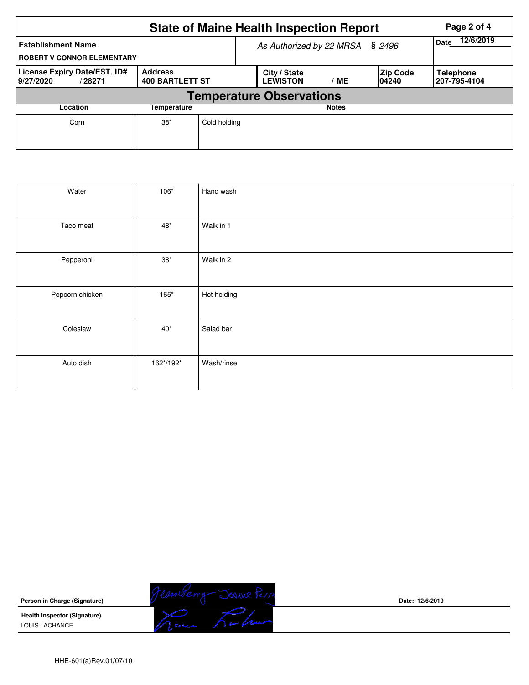|                                                                |                                          | <b>State of Maine Health Inspection Report</b> |                                 | Page 2 of 4  |                    |                                  |  |  |  |  |  |
|----------------------------------------------------------------|------------------------------------------|------------------------------------------------|---------------------------------|--------------|--------------------|----------------------------------|--|--|--|--|--|
| <b>Establishment Name</b><br><b>ROBERT V CONNOR ELEMENTARY</b> |                                          | As Authorized by 22 MRSA § 2496                | 12/6/2019<br><b>Date</b>        |              |                    |                                  |  |  |  |  |  |
| License Expiry Date/EST. ID#<br>9/27/2020<br>/28271            | <b>Address</b><br><b>400 BARTLETT ST</b> |                                                | City / State<br><b>LEWISTON</b> | MЕ           | Zip Code<br>104240 | <b>Telephone</b><br>207-795-4104 |  |  |  |  |  |
| <b>Temperature Observations</b>                                |                                          |                                                |                                 |              |                    |                                  |  |  |  |  |  |
| Location<br>Temperature                                        |                                          |                                                |                                 | <b>Notes</b> |                    |                                  |  |  |  |  |  |
| Corn                                                           | $38*$                                    | Cold holding                                   |                                 |              |                    |                                  |  |  |  |  |  |

| Water           | 106*         | Hand wash   |
|-----------------|--------------|-------------|
| Taco meat       | $48^{\ast}$  | Walk in 1   |
| Pepperoni       | $38^{\ast}$  | Walk in 2   |
| Popcorn chicken | 165*         | Hot holding |
| Coleslaw        | $40^{\star}$ | Salad bar   |
| Auto dish       | 162*/192*    | Wash/rinse  |



**Date: 12/6/2019**

HHE-601(a)Rev.01/07/10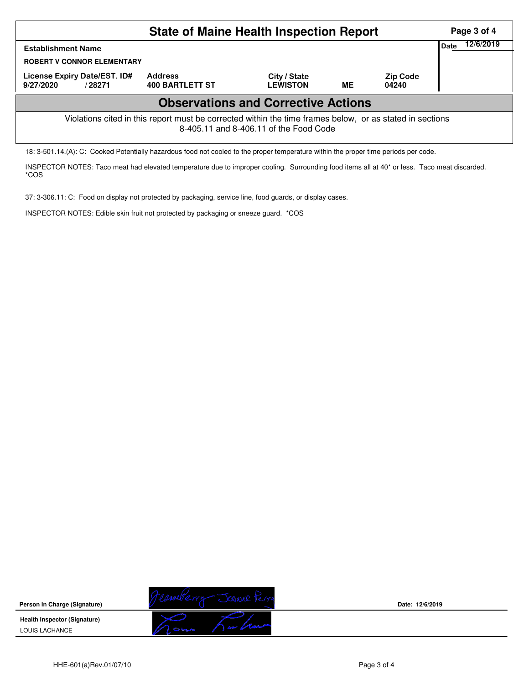| <b>State of Maine Health Inspection Report</b>                                                                                                     |                                          |                                 |           |                          |  |  |  |  |  |  |
|----------------------------------------------------------------------------------------------------------------------------------------------------|------------------------------------------|---------------------------------|-----------|--------------------------|--|--|--|--|--|--|
| Date<br><b>Establishment Name</b><br><b>ROBERT V CONNOR ELEMENTARY</b>                                                                             |                                          |                                 |           |                          |  |  |  |  |  |  |
| License Expiry Date/EST. ID#<br>9/27/2020<br>/ 28271                                                                                               | <b>Address</b><br><b>400 BARTLETT ST</b> | City / State<br><b>LEWISTON</b> | <b>ME</b> | <b>Zip Code</b><br>04240 |  |  |  |  |  |  |
| <b>Observations and Corrective Actions</b>                                                                                                         |                                          |                                 |           |                          |  |  |  |  |  |  |
| Violations cited in this report must be corrected within the time frames below, or as stated in sections<br>8-405.11 and 8-406.11 of the Food Code |                                          |                                 |           |                          |  |  |  |  |  |  |

18: 3-501.14.(A): C: Cooked Potentially hazardous food not cooled to the proper temperature within the proper time periods per code.

INSPECTOR NOTES: Taco meat had elevated temperature due to improper cooling. Surrounding food items all at 40\* or less. Taco meat discarded. \*COS

37: 3-306.11: C: Food on display not protected by packaging, service line, food guards, or display cases.

INSPECTOR NOTES: Edible skin fruit not protected by packaging or sneeze guard. \*COS



**Date: 12/6/2019**